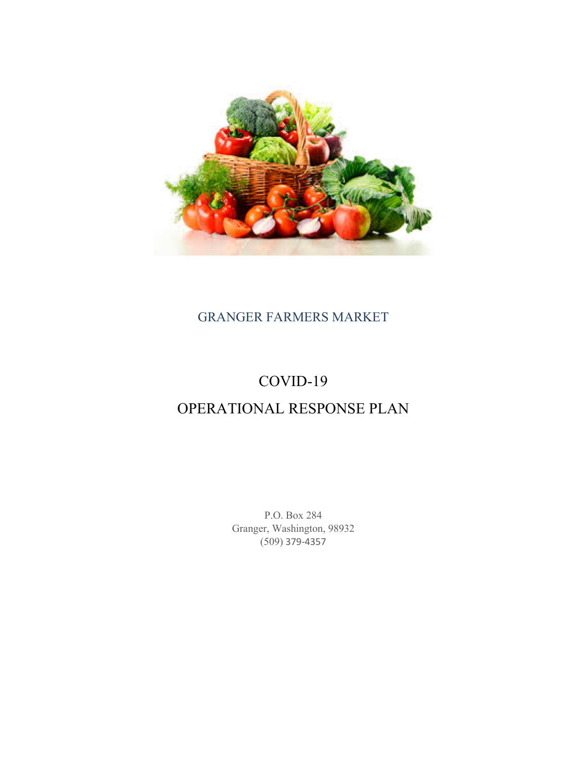

# GRANGER FARMERS MARKET

# COVID-19

# OPERATIONAL RESPONSE PLAN

P.O. Box 284 Granger, Washington, 98932 (509) 379-4357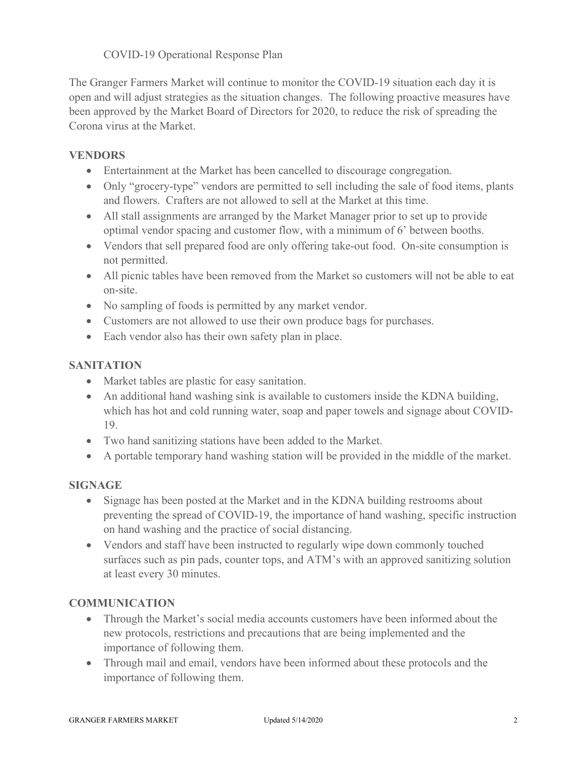# COVID-19 Operational Response Plan

The Granger Farmers Market will continue to monitor the COVID-19 situation each day it is open and will adjust strategies as the situation changes. The following proactive measures have been approved by the Market Board of Directors for 2020, to reduce the risk of spreading the Corona virus at the Market.

# **VENDORS**

- Entertainment at the Market has been cancelled to discourage congregation.
- Only "grocery-type" vendors are permitted to sell including the sale of food items, plants and flowers. Crafters are not allowed to sell at the Market at this time.
- All stall assignments are arranged by the Market Manager prior to set up to provide optimal vendor spacing and customer flow, with a minimum of 6' between booths.
- Vendors that sell prepared food are only offering take-out food. On-site consumption is not permitted.
- All picnic tables have been removed from the Market so customers will not be able to eat on-site.
- No sampling of foods is permitted by any market vendor.
- Customers are not allowed to use their own produce bags for purchases.
- Each vendor also has their own safety plan in place.

#### **SANITATION**

- Market tables are plastic for easy sanitation.
- An additional hand washing sink is available to customers inside the KDNA building, which has hot and cold running water, soap and paper towels and signage about COVID-19.
- Two hand sanitizing stations have been added to the Market.
- A portable temporary hand washing station will be provided in the middle of the market.

#### **SIGNAGE**

- Signage has been posted at the Market and in the KDNA building restrooms about preventing the spread of COVID-19, the importance of hand washing, specific instruction on hand washing and the practice of social distancing.
- Vendors and staff have been instructed to regularly wipe down commonly touched surfaces such as pin pads, counter tops, and ATM's with an approved sanitizing solution at least every 30 minutes.

#### **COMMUNICATION**

- Through the Market's social media accounts customers have been informed about the new protocols, restrictions and precautions that are being implemented and the importance of following them.
- Through mail and email, vendors have been informed about these protocols and the importance of following them.